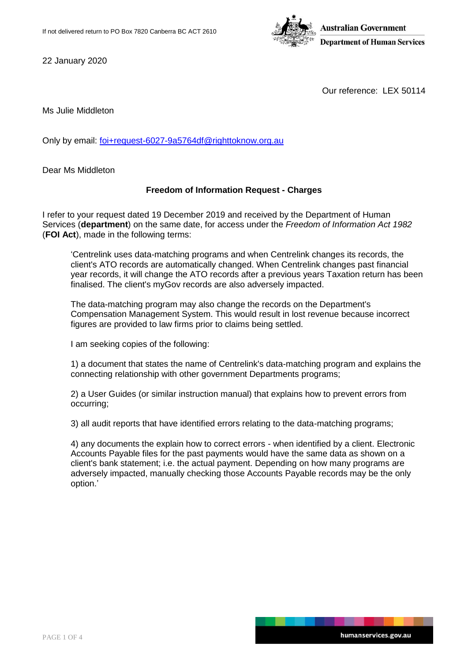

22 January 2020

Our reference: LEX 50114

Ms Julie Middleton

Only by email: [foi+request-6027-9a5764df@righttoknow.org.au](mailto:xxxxxxxxxxxxxxxxxxxxxxxxx@xxxxxxxxxxx.xxx.xx)

Dear Ms Middleton

# **Freedom of Information Request - Charges**

I refer to your request dated 19 December 2019 and received by the Department of Human Services (**department**) on the same date, for access under the *Freedom of Information Act 1982*  (**FOI Act**), made in the following terms:

'Centrelink uses data-matching programs and when Centrelink changes its records, the client's ATO records are automatically changed. When Centrelink changes past financial year records, it will change the ATO records after a previous years Taxation return has been finalised. The client's myGov records are also adversely impacted.

The data-matching program may also change the records on the Department's Compensation Management System. This would result in lost revenue because incorrect figures are provided to law firms prior to claims being settled.

I am seeking copies of the following:

1) a document that states the name of Centrelink's data-matching program and explains the connecting relationship with other government Departments programs;

2) a User Guides (or similar instruction manual) that explains how to prevent errors from occurring;

3) all audit reports that have identified errors relating to the data-matching programs;

4) any documents the explain how to correct errors - when identified by a client. Electronic Accounts Payable files for the past payments would have the same data as shown on a client's bank statement; i.e. the actual payment. Depending on how many programs are adversely impacted, manually checking those Accounts Payable records may be the only option.'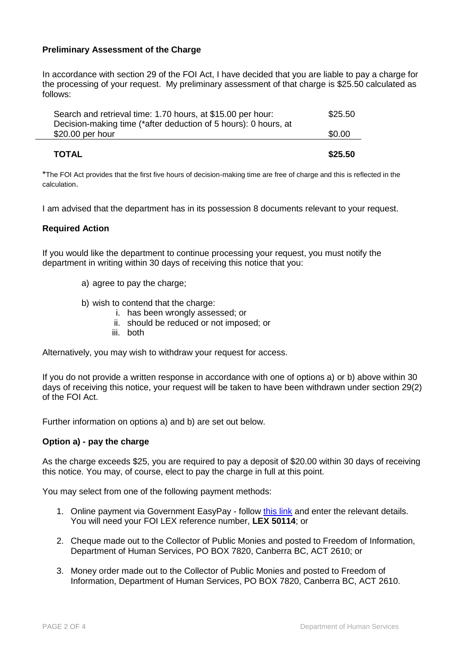## **Preliminary Assessment of the Charge**

In accordance with section 29 of the FOI Act, I have decided that you are liable to pay a charge for the processing of your request. My preliminary assessment of that charge is \$25.50 calculated as follows:

| Search and retrieval time: 1.70 hours, at \$15.00 per hour:     | \$25.50 |
|-----------------------------------------------------------------|---------|
| Decision-making time (*after deduction of 5 hours): 0 hours, at |         |
| \$20.00 per hour                                                | \$0.00  |
|                                                                 |         |

**TOTAL \$25.50**

\*The FOI Act provides that the first five hours of decision-making time are free of charge and this is reflected in the calculation.

I am advised that the department has in its possession 8 documents relevant to your request.

## **Required Action**

If you would like the department to continue processing your request, you must notify the department in writing within 30 days of receiving this notice that you:

- a) agree to pay the charge;
- b) wish to contend that the charge:
	- i. has been wrongly assessed; or
	- ii. should be reduced or not imposed; or
	- iii. both

Alternatively, you may wish to withdraw your request for access.

If you do not provide a written response in accordance with one of options a) or b) above within 30 days of receiving this notice, your request will be taken to have been withdrawn under section 29(2) of the FOI Act.

Further information on options a) and b) are set out below.

## **Option a) - pay the charge**

As the charge exceeds \$25, you are required to pay a deposit of \$20.00 within 30 days of receiving this notice. You may, of course, elect to pay the charge in full at this point.

You may select from one of the following payment methods:

- 1. Online payment via Government EasyPay follow [this link](https://www.ippayments.com.au/access/index.aspx?a=85987733&dl=legalservices_hpp_purchase) and enter the relevant details. You will need your FOI LEX reference number, **LEX 50114**; or
- 2. Cheque made out to the Collector of Public Monies and posted to Freedom of Information, Department of Human Services, PO BOX 7820, Canberra BC, ACT 2610; or
- 3. Money order made out to the Collector of Public Monies and posted to Freedom of Information, Department of Human Services, PO BOX 7820, Canberra BC, ACT 2610.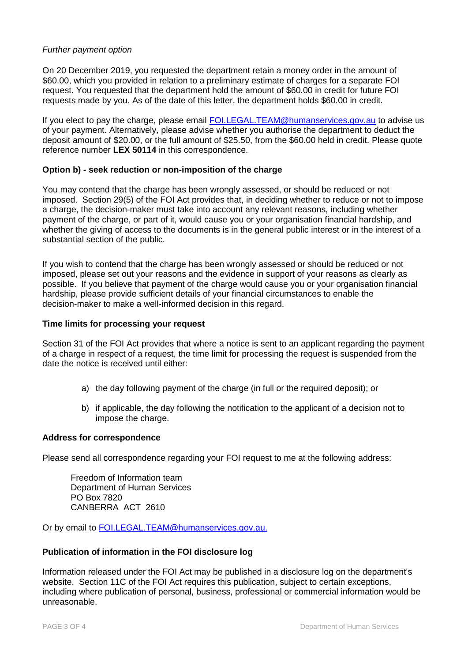## *Further payment option*

On 20 December 2019, you requested the department retain a money order in the amount of \$60.00, which you provided in relation to a preliminary estimate of charges for a separate FOI request. You requested that the department hold the amount of \$60.00 in credit for future FOI requests made by you. As of the date of this letter, the department holds \$60.00 in credit.

If you elect to pay the charge, please email [FOI.LEGAL.TEAM@humanservices.gov.au](mailto:xxx.xxxxx.xxxx@xxxxxxxxxxxxx.xxx.xx) to advise us of your payment. Alternatively, please advise whether you authorise the department to deduct the deposit amount of \$20.00, or the full amount of \$25.50, from the \$60.00 held in credit. Please quote reference number **LEX 50114** in this correspondence.

### **Option b) - seek reduction or non-imposition of the charge**

You may contend that the charge has been wrongly assessed, or should be reduced or not imposed. Section 29(5) of the FOI Act provides that, in deciding whether to reduce or not to impose a charge, the decision-maker must take into account any relevant reasons, including whether payment of the charge, or part of it, would cause you or your organisation financial hardship, and whether the giving of access to the documents is in the general public interest or in the interest of a substantial section of the public.

If you wish to contend that the charge has been wrongly assessed or should be reduced or not imposed, please set out your reasons and the evidence in support of your reasons as clearly as possible. If you believe that payment of the charge would cause you or your organisation financial hardship, please provide sufficient details of your financial circumstances to enable the decision-maker to make a well-informed decision in this regard.

### **Time limits for processing your request**

Section 31 of the FOI Act provides that where a notice is sent to an applicant regarding the payment of a charge in respect of a request, the time limit for processing the request is suspended from the date the notice is received until either:

- a) the day following payment of the charge (in full or the required deposit); or
- b) if applicable, the day following the notification to the applicant of a decision not to impose the charge.

#### **Address for correspondence**

Please send all correspondence regarding your FOI request to me at the following address:

Freedom of Information team Department of Human Services PO Box 7820 CANBERRA ACT 2610

Or by email to [FOI.LEGAL.TEAM@humanservices.gov.au.](mailto:xxx.xxxxx.xxxx@xxxxxxxxxxxxx.xxx.xx)

#### **Publication of information in the FOI disclosure log**

Information released under the FOI Act may be published in a disclosure log on the department's website. Section 11C of the FOI Act requires this publication, subject to certain exceptions, including where publication of personal, business, professional or commercial information would be unreasonable.